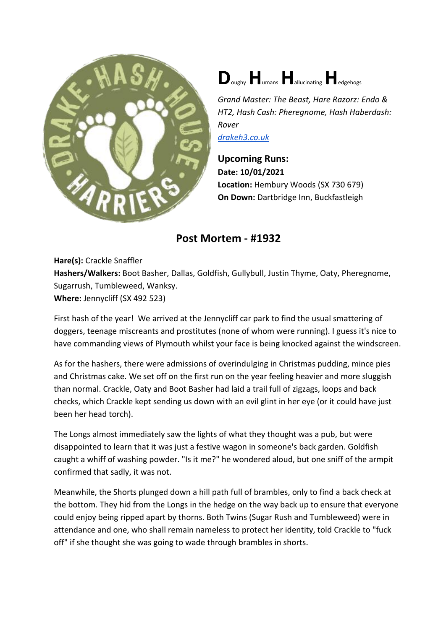



*Grand Master: The Beast, Hare Razorz: Endo & HT2, Hash Cash: Pheregnome, Hash Haberdash: Rover [drakeh3.co.uk](http://drakeh3.co.uk/)*

**Upcoming Runs: Date: 10/01/2021 Location:** Hembury Woods (SX 730 679) **On Down:** Dartbridge Inn, Buckfastleigh

## **Post Mortem - #1932**

**Hare(s):** Crackle Snaffler **Hashers/Walkers:** Boot Basher, Dallas, Goldfish, Gullybull, Justin Thyme, Oaty, Pheregnome, Sugarrush, Tumbleweed, Wanksy. **Where:** Jennycliff (SX 492 523)

First hash of the year! We arrived at the Jennycliff car park to find the usual smattering of doggers, teenage miscreants and prostitutes (none of whom were running). I guess it's nice to have commanding views of Plymouth whilst your face is being knocked against the windscreen.

As for the hashers, there were admissions of overindulging in Christmas pudding, mince pies and Christmas cake. We set off on the first run on the year feeling heavier and more sluggish than normal. Crackle, Oaty and Boot Basher had laid a trail full of zigzags, loops and back checks, which Crackle kept sending us down with an evil glint in her eye (or it could have just been her head torch).

The Longs almost immediately saw the lights of what they thought was a pub, but were disappointed to learn that it was just a festive wagon in someone's back garden. Goldfish caught a whiff of washing powder. "Is it me?" he wondered aloud, but one sniff of the armpit confirmed that sadly, it was not.

Meanwhile, the Shorts plunged down a hill path full of brambles, only to find a back check at the bottom. They hid from the Longs in the hedge on the way back up to ensure that everyone could enjoy being ripped apart by thorns. Both Twins (Sugar Rush and Tumbleweed) were in attendance and one, who shall remain nameless to protect her identity, told Crackle to "fuck off" if she thought she was going to wade through brambles in shorts.